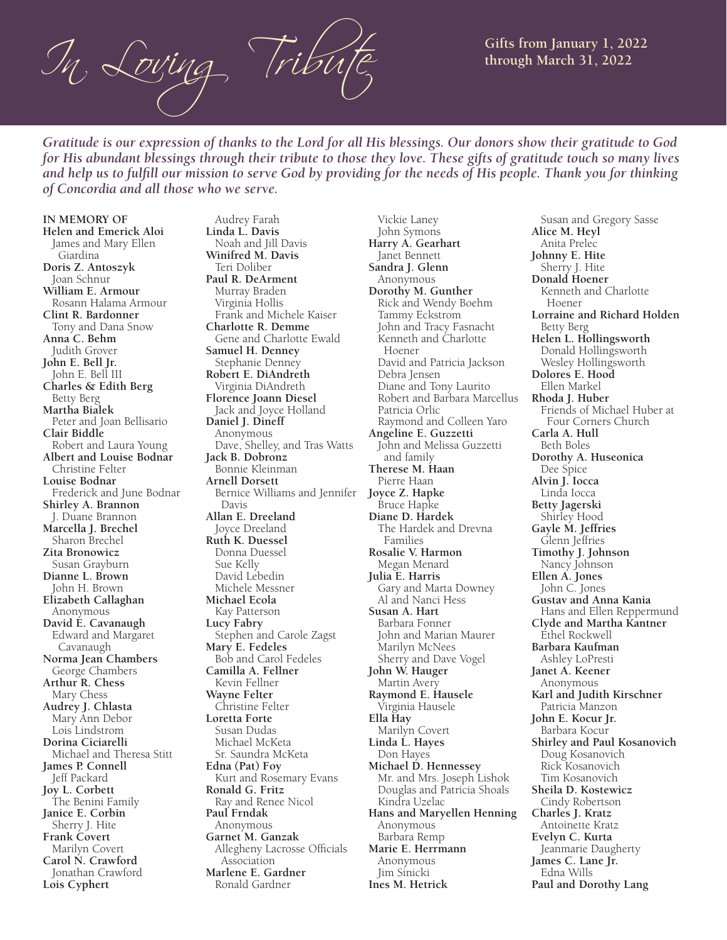$\mathcal{I}_{\eta}$ ,  $\mathcal{L}$ *oving*  $\mathcal{T}$  Tribute Gifts from January 1, 2022

*Gratitude is our expression of thanks to the Lord for all His blessings. Our donors show their gratitude to God for His abundant blessings through their tribute to those they love. These gifts of gratitude touch so many lives and help us to fulfill our mission to serve God by providing for the needs of His people. Thank you for thinking of Concordia and all those who we serve.*

**IN MEMORY OF Helen and Emerick Aloi** James and Mary Ellen Giardina **Doris Z. Antoszyk** Joan Schnur **William E. Armour** Rosann Halama Armour **Clint R. Bardonner** Tony and Dana Snow **Anna C. Behm** Judith Grover **John E. Bell Jr.** John E. Bell III **Charles & Edith Berg** Betty Berg **Martha Bialek** Peter and Joan Bellisario **Clair Biddle** Robert and Laura Young **Albert and Louise Bodnar** Christine Felter **Louise Bodnar** Frederick and June Bodnar **Shirley A. Brannon** J. Duane Brannon **Marcella J. Brechel** Sharon Brechel **Zita Bronowicz** Susan Grayburn **Dianne L. Brown** John H. Brown **Elizabeth Callaghan** Anonymous **David E. Cavanaugh** Edward and Margaret Cavanaugh **Norma Jean Chambers** George Chambers **Arthur R. Chess** Mary Chess **Audrey J. Chlasta** Mary Ann Debor Lois Lindstrom **Dorina Ciciarelli** Michael and Theresa Stitt **James P. Connell** Jeff Packard **Joy L. Corbett** The Benini Family **Janice E. Corbin** Sherry J. Hite **Frank Covert** Marilyn Covert **Carol N. Crawford** Jonathan Crawford **Lois Cyphert**

 Audrey Farah **Linda L. Davis** Noah and Jill Davis **Winifred M. Davis** Teri Doliber **Paul R. DeArment** Murray Braden Virginia Hollis Frank and Michele Kaiser **Charlotte R. Demme** Gene and Charlotte Ewald **Samuel H. Denney** Stephanie Denney **Robert E. DiAndreth** Virginia DiAndreth **Florence Joann Diesel** Jack and Joyce Holland **Daniel J. Dineff** Anonymous Dave, Shelley, and Tras Watts **Jack B. Dobronz** Bonnie Kleinman **Arnell Dorsett** Bernice Williams and Jennifer **Joyce Z. Hapke** Davis **Allan E. Dreeland** Joyce Dreeland **Ruth K. Duessel** Donna Duessel Sue Kelly David Lebedin Michele Messner **Michael Ecola** Kay Patterson **Lucy Fabry** Stephen and Carole Zagst **Mary E. Fedeles** Bob and Carol Fedeles **Camilla A. Fellner** Kevin Fellner **Wayne Felter** Christine Felter **Loretta Forte** Susan Dudas Michael McKeta Sr. Saundra McKeta **Edna (Pat) Foy** Kurt and Rosemary Evans **Ronald G. Fritz** Ray and Renee Nicol **Paul Frndak** Anonymous **Garnet M. Ganzak** Allegheny Lacrosse Officials Association **Marlene E. Gardner**

Ronald Gardner

 Vickie Laney John Symons **Harry A. Gearhart** Janet Bennett **Sandra J. Glenn** Anonymous **Dorothy M. Gunther** Rick and Wendy Boehm Tammy Eckstrom John and Tracy Fasnacht Kenneth and Charlotte Hoener David and Patricia Jackson Debra Jensen Diane and Tony Laurito Robert and Barbara Marcellus Patricia Orlic Raymond and Colleen Yaro **Angeline E. Guzzetti** John and Melissa Guzzetti and family **Therese M. Haan** Pierre Haan Bruce Hapke **Diane D. Hardek** The Hardek and Drevna Families **Rosalie V. Harmon** Megan Menard **Julia E. Harris** Gary and Marta Downey Al and Nanci Hess **Susan A. Hart** Barbara Fonner John and Marian Maurer Marilyn McNees Sherry and Dave Vogel **John W. Hauger** Martin Avery **Raymond E. Hausele** Virginia Hausele **Ella Hay** Marilyn Covert **Linda L. Hayes** Don Hayes **Michael D. Hennessey** Mr. and Mrs. Joseph Lishok Douglas and Patricia Shoals Kindra Uzelac **Hans and Maryellen Henning** Anonymous Barbara Remp **Marie E. Herrmann** Anonymous Jim Sinicki **Ines M. Hetrick**

 Susan and Gregory Sasse **Alice M. Heyl** Anita Prelec **Johnny E. Hite** Sherry J. Hite **Donald Hoener** Kenneth and Charlotte Hoener **Lorraine and Richard Holden** Betty Berg **Helen L. Hollingsworth** Donald Hollingsworth Wesley Hollingsworth **Dolores E. Hood** Ellen Markel **Rhoda J. Huber** Friends of Michael Huber at Four Corners Church **Carla A. Hull** Beth Boles **Dorothy A. Huseonica** Dee Spice **Alvin J. Iocca** Linda Iocca **Betty Jagerski** Shirley Hood **Gayle M. Jeffries** Glenn Jeffries **Timothy J. Johnson** Nancy Johnson **Ellen A. Jones** John C. Jones **Gustav and Anna Kania** Hans and Ellen Reppermund **Clyde and Martha Kantner** Ethel Rockwell **Barbara Kaufman** Ashley LoPresti **Janet A. Keener** Anonymous **Karl and Judith Kirschner** Patricia Manzon **John E. Kocur Jr.** Barbara Kocur **Shirley and Paul Kosanovich** Doug Kosanovich Rick Kosanovich Tim Kosanovich **Sheila D. Kostewicz** Cindy Robertson **Charles J. Kratz** Antoinette Kratz **Evelyn C. Kurta** Jeanmarie Daugherty **James C. Lane Jr.** Edna Wills **Paul and Dorothy Lang**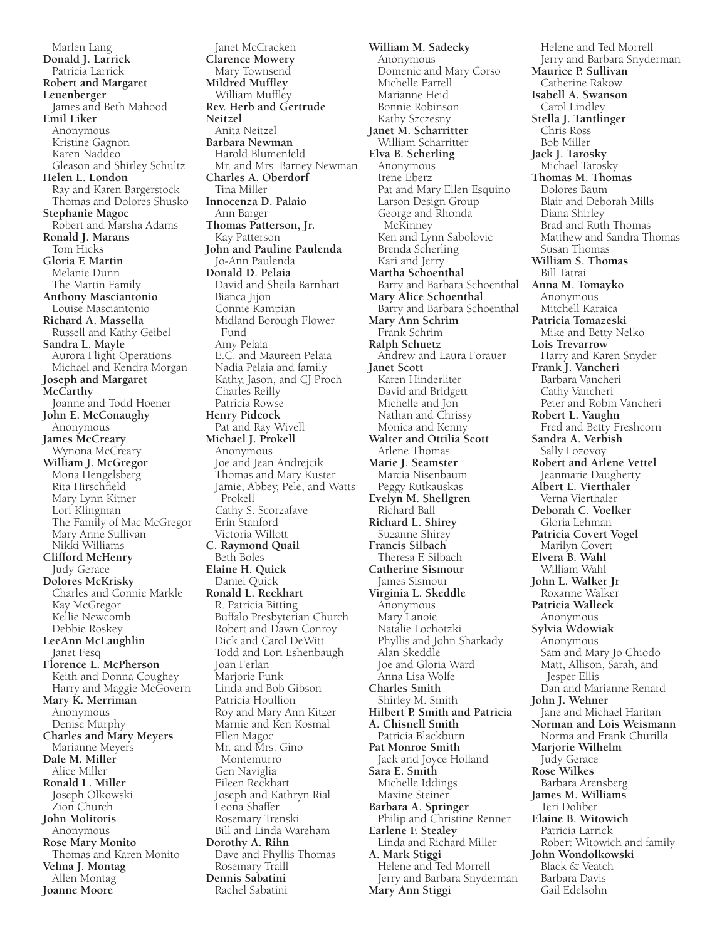Marlen Lang **Donald J. Larrick** Patricia Larrick **Robert and Margaret Leuenberger** James and Beth Mahood **Emil Liker** Anonymous Kristine Gagnon Karen Naddeo Gleason and Shirley Schultz **Helen L. London** Ray and Karen Bargerstock Thomas and Dolores Shusko **Stephanie Magoc** Robert and Marsha Adams **Ronald J. Marans** Tom Hicks **Gloria F. Martin** Melanie Dunn The Martin Family **Anthony Masciantonio** Louise Masciantonio **Richard A. Massella** Russell and Kathy Geibel **Sandra L. Mayle** Aurora Flight Operations Michael and Kendra Morgan **Joseph and Margaret McCarthy** Joanne and Todd Hoener **John E. McConaughy** Anonymous **James McCreary** Wynona McCreary **William J. McGregor** Mona Hengelsberg Rita Hirschfield Mary Lynn Kitner Lori Klingman The Family of Mac McGregor Mary Anne Sullivan Nikki Williams **Clifford McHenry** Judy Gerace **Dolores McKrisky** Charles and Connie Markle Kay McGregor Kellie Newcomb Debbie Roskey **LeeAnn McLaughlin** Janet Fesq **Florence L. McPherson** Keith and Donna Coughey Harry and Maggie McGovern **Mary K. Merriman** Anonymous Denise Murphy **Charles and Mary Meyers** Marianne Meyers **Dale M. Miller** Alice Miller **Ronald L. Miller** Joseph Olkowski Zion Church **John Molitoris** Anonymous **Rose Mary Monito** Thomas and Karen Monito **Velma J. Montag** Allen Montag **Joanne Moore**

 Janet McCracken **Clarence Mowery** Mary Townsend **Mildred Muffley** William Muffley **Rev. Herb and Gertrude Neitzel** Anita Neitzel **Barbara Newman** Harold Blumenfeld Mr. and Mrs. Barney Newman **Charles A. Oberdorf** Tina Miller **Innocenza D. Palaio** Ann Barger **Thomas Patterson, Jr.** Kay Patterson **John and Pauline Paulenda** Jo-Ann Paulenda **Donald D. Pelaia** David and Sheila Barnhart Bianca Jijon Connie Kampian Midland Borough Flower Fund Amy Pelaia E.C. and Maureen Pelaia Nadia Pelaia and family Kathy, Jason, and CJ Proch Charles Reilly Patricia Rowse **Henry Pidcock** Pat and Ray Wivell **Michael J. Prokell** Anonymous Joe and Jean Andrejcik Thomas and Mary Kuster Jamie, Abbey, Pele, and Watts Prokell Cathy S. Scorzafave Erin Stanford Victoria Willott **C. Raymond Quail** Beth Boles **Elaine H. Quick** Daniel Quick **Ronald L. Reckhart** R. Patricia Bitting Buffalo Presbyterian Church Robert and Dawn Conroy Dick and Carol DeWitt Todd and Lori Eshenbaugh Joan Ferlan Marjorie Funk Linda and Bob Gibson Patricia Houllion Roy and Mary Ann Kitzer Marnie and Ken Kosmal Ellen Magoc Mr. and Mrs. Gino Montemurro Gen Naviglia Eileen Reckhart Joseph and Kathryn Rial Leona Shaffer Rosemary Trenski Bill and Linda Wareham **Dorothy A. Rihn** Dave and Phyllis Thomas Rosemary Traill **Dennis Sabatini** Rachel Sabatini

**William M. Sadecky** Anonymous Domenic and Mary Corso Michelle Farrell Marianne Heid Bonnie Robinson Kathy Szczesny **Janet M. Scharritter** William Scharritter **Elva B. Scherling** Anonymous Irene Eberz Pat and Mary Ellen Esquino Larson Design Group George and Rhonda **McKinney**  Ken and Lynn Sabolovic Brenda Scherling Kari and Jerry **Martha Schoenthal** Barry and Barbara Schoenthal **Mary Alice Schoenthal** Barry and Barbara Schoenthal **Mary Ann Schrim** Frank Schrim **Ralph Schuetz** Andrew and Laura Forauer **Janet Scott** Karen Hinderliter David and Bridgett Michelle and Jon Nathan and Chrissy Monica and Kenny **Walter and Ottilia Scott** Arlene Thomas **Marie J. Seamster** Marcia Nisenbaum Peggy Rutkauskas **Evelyn M. Shellgren** Richard Ball **Richard L. Shirey** Suzanne Shirey **Francis Silbach** Theresa F. Silbach **Catherine Sismour** James Sismour **Virginia L. Skeddle** Anonymous Mary Lanoie Natalie Lochotzki Phyllis and John Sharkady Alan Skeddle Joe and Gloria Ward Anna Lisa Wolfe **Charles Smith** Shirley M. Smith **Hilbert P. Smith and Patricia A. Chisnell Smith** Patricia Blackburn **Pat Monroe Smith** Jack and Joyce Holland **Sara E. Smith** Michelle Iddings Maxine Steiner **Barbara A. Springer** Philip and Christine Renner **Earlene F. Stealey** Linda and Richard Miller **A. Mark Stiggi** Helene and Ted Morrell Jerry and Barbara Snyderman **Mary Ann Stiggi**

 Helene and Ted Morrell Jerry and Barbara Snyderman **Maurice P. Sullivan** Catherine Rakow **Isabell A. Swanson** Carol Lindley **Stella J. Tantlinger** Chris Ross Bob Miller **Jack J. Tarosky** Michael Tarosky **Thomas M. Thomas** Dolores Baum Blair and Deborah Mills Diana Shirley Brad and Ruth Thomas Matthew and Sandra Thomas Susan Thomas **William S. Thomas** Bill Tatrai **Anna M. Tomayko** Anonymous Mitchell Karaica **Patricia Tomazeski** Mike and Betty Nelko **Lois Trevarrow** Harry and Karen Snyder **Frank J. Vancheri** Barbara Vancheri Cathy Vancheri Peter and Robin Vancheri **Robert L. Vaughn** Fred and Betty Freshcorn **Sandra A. Verbish** Sally Lozovoy **Robert and Arlene Vettel** Jeanmarie Daugherty **Albert E. Vierthaler** Verna Vierthaler **Deborah C. Voelker** Gloria Lehman **Patricia Covert Vogel** Marilyn Covert **Elvera B. Wahl** William Wahl **John L. Walker Jr** Roxanne Walker **Patricia Walleck** Anonymous **Sylvia Wdowiak** Anonymous Sam and Mary Jo Chiodo Matt, Allison, Sarah, and Jesper Ellis Dan and Marianne Renard **John J. Wehner** Jane and Michael Haritan **Norman and Lois Weismann** Norma and Frank Churilla **Marjorie Wilhelm** Judy Gerace **Rose Wilkes** Barbara Arensberg **James M. Williams** Teri Doliber **Elaine B. Witowich** Patricia Larrick Robert Witowich and family **John Wondolkowski** Black & Veatch Barbara Davis Gail Edelsohn